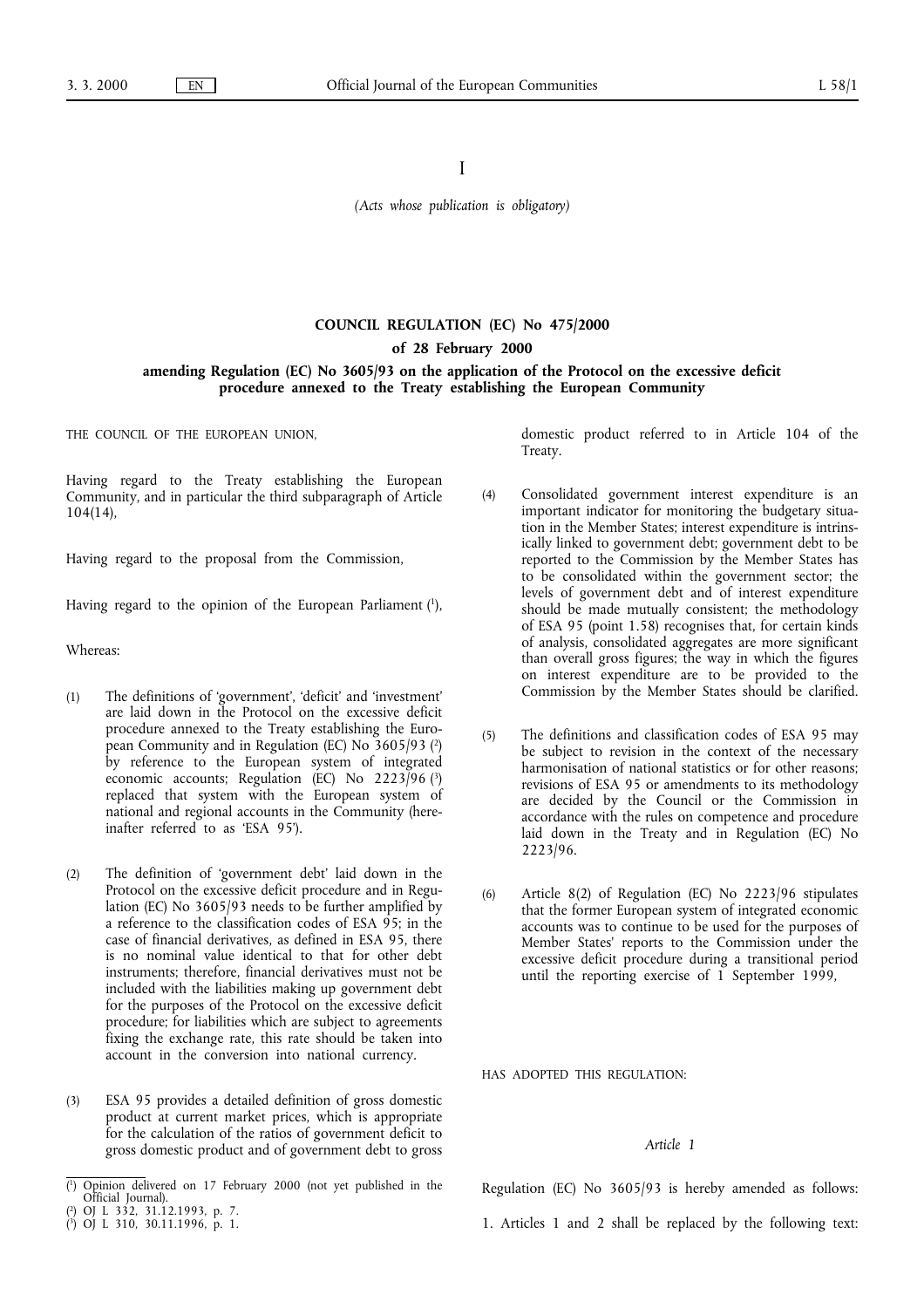I

*(Acts whose publication is obligatory)*

## **COUNCIL REGULATION (EC) No 475/2000 of 28 February 2000**

**amending Regulation (EC) No 3605/93 on the application of the Protocol on the excessive deficit procedure annexed to the Treaty establishing the European Community**

THE COUNCIL OF THE EUROPEAN UNION,

Having regard to the Treaty establishing the European Community, and in particular the third subparagraph of Article 104(14),

Having regard to the proposal from the Commission,

Having regard to the opinion of the European Parliament (1),

Whereas:

- (1) The definitions of 'government', 'deficit' and 'investment' are laid down in the Protocol on the excessive deficit procedure annexed to the Treaty establishing the European Community and in Regulation (EC) No 3605/93 (2) by reference to the European system of integrated economic accounts; Regulation (EC) No 2223/96 (3) replaced that system with the European system of national and regional accounts in the Community (hereinafter referred to as 'ESA 95').
- (2) The definition of 'government debt' laid down in the Protocol on the excessive deficit procedure and in Regulation (EC) No 3605/93 needs to be further amplified by a reference to the classification codes of ESA 95; in the case of financial derivatives, as defined in ESA 95, there is no nominal value identical to that for other debt instruments; therefore, financial derivatives must not be included with the liabilities making up government debt for the purposes of the Protocol on the excessive deficit procedure; for liabilities which are subject to agreements fixing the exchange rate, this rate should be taken into account in the conversion into national currency.
- (3) ESA 95 provides a detailed definition of gross domestic product at current market prices, which is appropriate for the calculation of the ratios of government deficit to gross domestic product and of government debt to gross

domestic product referred to in Article 104 of the Treaty.

- (4) Consolidated government interest expenditure is an important indicator for monitoring the budgetary situation in the Member States; interest expenditure is intrinsically linked to government debt; government debt to be reported to the Commission by the Member States has to be consolidated within the government sector; the levels of government debt and of interest expenditure should be made mutually consistent; the methodology of ESA 95 (point 1.58) recognises that, for certain kinds of analysis, consolidated aggregates are more significant than overall gross figures; the way in which the figures on interest expenditure are to be provided to the Commission by the Member States should be clarified.
- (5) The definitions and classification codes of ESA 95 may be subject to revision in the context of the necessary harmonisation of national statistics or for other reasons; revisions of ESA 95 or amendments to its methodology are decided by the Council or the Commission in accordance with the rules on competence and procedure laid down in the Treaty and in Regulation (EC) No 2223/96.
- (6) Article 8(2) of Regulation (EC) No 2223/96 stipulates that the former European system of integrated economic accounts was to continue to be used for the purposes of Member States' reports to the Commission under the excessive deficit procedure during a transitional period until the reporting exercise of 1 September 1999,

HAS ADOPTED THIS REGULATION:

## *Article 1*

Regulation (EC) No 3605/93 is hereby amended as follows:

1. Articles 1 and 2 shall be replaced by the following text:

<sup>(</sup> 1) Opinion delivered on 17 February 2000 (not yet published in the Official Journal). 2) OJ L 332, 31.12.1993, p. 7.

<sup>(</sup> ( 3) OJ L 310, 30.11.1996, p. 1.